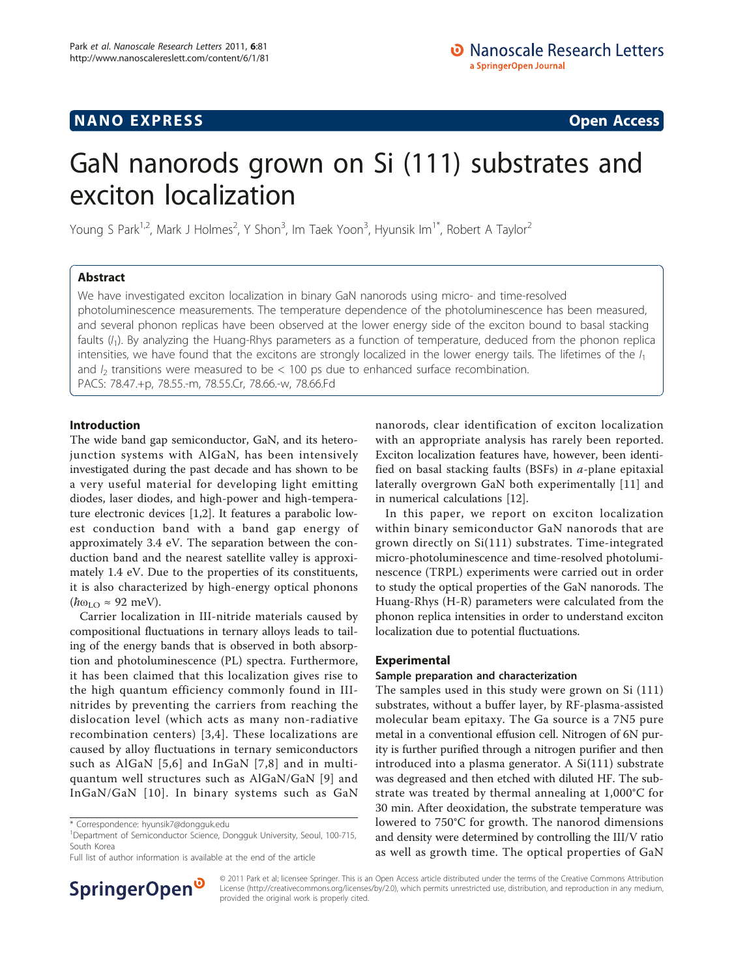# **NANO EXPRESS** Open Access and the set of the set of the set of the set of the set of the set of the set of the set of the set of the set of the set of the set of the set of the set of the set of the set of the set of the

# GaN nanorods grown on Si (111) substrates and exciton localization

Young S Park<sup>1,2</sup>, Mark J Holmes<sup>2</sup>, Y Shon<sup>3</sup>, Im Taek Yoon<sup>3</sup>, Hyunsik Im<sup>1\*</sup>, Robert A Taylor<sup>2</sup>

# Abstract

We have investigated exciton localization in binary GaN nanorods using micro- and time-resolved photoluminescence measurements. The temperature dependence of the photoluminescence has been measured, and several phonon replicas have been observed at the lower energy side of the exciton bound to basal stacking faults  $(l_1)$ . By analyzing the Huang-Rhys parameters as a function of temperature, deduced from the phonon replica intensities, we have found that the excitons are strongly localized in the lower energy tails. The lifetimes of the  $I_1$ and  $I_2$  transitions were measured to be  $< 100$  ps due to enhanced surface recombination. PACS: 78.47.+p, 78.55.-m, 78.55.Cr, 78.66.-w, 78.66.Fd

# Introduction

The wide band gap semiconductor, GaN, and its heterojunction systems with AlGaN, has been intensively investigated during the past decade and has shown to be a very useful material for developing light emitting diodes, laser diodes, and high-power and high-temperature electronic devices [[1,2\]](#page-4-0). It features a parabolic lowest conduction band with a band gap energy of approximately 3.4 eV. The separation between the conduction band and the nearest satellite valley is approximately 1.4 eV. Due to the properties of its constituents, it is also characterized by high-energy optical phonons  $(\hbar \omega_{LO} \approx 92 \text{ meV}).$ 

Carrier localization in III-nitride materials caused by compositional fluctuations in ternary alloys leads to tailing of the energy bands that is observed in both absorption and photoluminescence (PL) spectra. Furthermore, it has been claimed that this localization gives rise to the high quantum efficiency commonly found in IIInitrides by preventing the carriers from reaching the dislocation level (which acts as many non-radiative recombination centers) [[3,4\]](#page-4-0). These localizations are caused by alloy fluctuations in ternary semiconductors such as AlGaN [[5](#page-4-0),[6](#page-4-0)] and InGaN [[7](#page-4-0),[8](#page-4-0)] and in multiquantum well structures such as AlGaN/GaN [[9](#page-4-0)] and InGaN/GaN [[10\]](#page-4-0). In binary systems such as GaN

Full list of author information is available at the end of the article



nanorods, clear identification of exciton localization with an appropriate analysis has rarely been reported. Exciton localization features have, however, been identified on basal stacking faults (BSFs) in  $a$ -plane epitaxial laterally overgrown GaN both experimentally [\[11](#page-4-0)] and in numerical calculations [\[12\]](#page-4-0).

In this paper, we report on exciton localization within binary semiconductor GaN nanorods that are grown directly on Si(111) substrates. Time-integrated micro-photoluminescence and time-resolved photoluminescence (TRPL) experiments were carried out in order to study the optical properties of the GaN nanorods. The Huang-Rhys (H-R) parameters were calculated from the phonon replica intensities in order to understand exciton localization due to potential fluctuations.

## Experimental

## Sample preparation and characterization

The samples used in this study were grown on Si (111) substrates, without a buffer layer, by RF-plasma-assisted molecular beam epitaxy. The Ga source is a 7N5 pure metal in a conventional effusion cell. Nitrogen of 6N purity is further purified through a nitrogen purifier and then introduced into a plasma generator. A Si(111) substrate was degreased and then etched with diluted HF. The substrate was treated by thermal annealing at 1,000°C for 30 min. After deoxidation, the substrate temperature was lowered to 750°C for growth. The nanorod dimensions and density were determined by controlling the III/V ratio as well as growth time. The optical properties of GaN

© 2011 Park et al; licensee Springer. This is an Open Access article distributed under the terms of the Creative Commons Attribution License [\(http://creativecommons.org/licenses/by/2.0](http://creativecommons.org/licenses/by/2.0)), which permits unrestricted use, distribution, and reproduction in any medium, provided the original work is properly cited.

<sup>\*</sup> Correspondence: [hyunsik7@dongguk.edu](mailto:hyunsik7@dongguk.edu)

<sup>&</sup>lt;sup>1</sup>Department of Semiconductor Science, Dongguk University, Seoul, 100-715, South Korea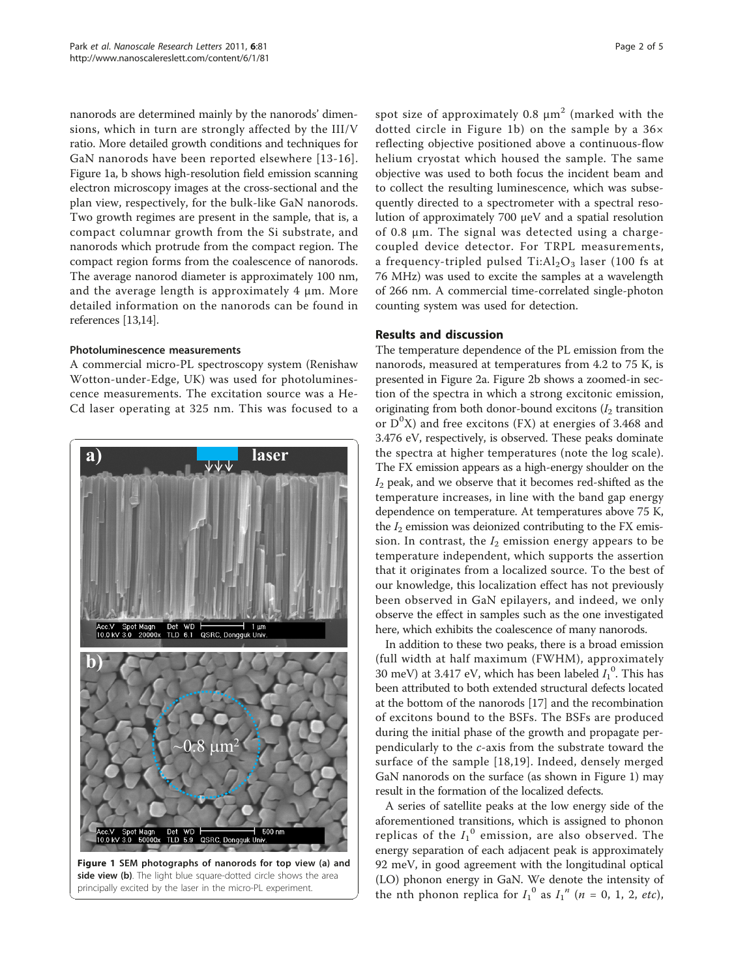nanorods are determined mainly by the nanorods' dimensions, which in turn are strongly affected by the III/V ratio. More detailed growth conditions and techniques for GaN nanorods have been reported elsewhere [[13-16\]](#page-4-0). Figure 1a, b shows high-resolution field emission scanning electron microscopy images at the cross-sectional and the plan view, respectively, for the bulk-like GaN nanorods. Two growth regimes are present in the sample, that is, a compact columnar growth from the Si substrate, and nanorods which protrude from the compact region. The compact region forms from the coalescence of nanorods. The average nanorod diameter is approximately 100 nm, and the average length is approximately 4 μm. More detailed information on the nanorods can be found in references [[13,14\]](#page-4-0).

# Photoluminescence measurements

A commercial micro-PL spectroscopy system (Renishaw Wotton-under-Edge, UK) was used for photoluminescence measurements. The excitation source was a He-Cd laser operating at 325 nm. This was focused to a



spot size of approximately 0.8  $\mu$ m<sup>2</sup> (marked with the dotted circle in Figure 1b) on the sample by a 36× reflecting objective positioned above a continuous-flow helium cryostat which housed the sample. The same objective was used to both focus the incident beam and to collect the resulting luminescence, which was subsequently directed to a spectrometer with a spectral resolution of approximately 700 μeV and a spatial resolution of 0.8 μm. The signal was detected using a chargecoupled device detector. For TRPL measurements, a frequency-tripled pulsed  $Ti: Al<sub>2</sub>O<sub>3</sub>$  laser (100 fs at 76 MHz) was used to excite the samples at a wavelength of 266 nm. A commercial time-correlated single-photon counting system was used for detection.

# Results and discussion

The temperature dependence of the PL emission from the nanorods, measured at temperatures from 4.2 to 75 K, is presented in Figure [2a](#page-2-0). Figure [2b](#page-2-0) shows a zoomed-in section of the spectra in which a strong excitonic emission, originating from both donor-bound excitons  $(I_2)$  transition or  $D^{0}X$ ) and free excitons (FX) at energies of 3.468 and 3.476 eV, respectively, is observed. These peaks dominate the spectra at higher temperatures (note the log scale). The FX emission appears as a high-energy shoulder on the  $I_2$  peak, and we observe that it becomes red-shifted as the temperature increases, in line with the band gap energy dependence on temperature. At temperatures above 75 K, the  $I_2$  emission was deionized contributing to the FX emission. In contrast, the  $I_2$  emission energy appears to be temperature independent, which supports the assertion that it originates from a localized source. To the best of our knowledge, this localization effect has not previously been observed in GaN epilayers, and indeed, we only observe the effect in samples such as the one investigated here, which exhibits the coalescence of many nanorods.

In addition to these two peaks, there is a broad emission (full width at half maximum (FWHM), approximately 30 meV) at 3.417 eV, which has been labeled  $I_1^0$ . This has been attributed to both extended structural defects located at the bottom of the nanorods [[17](#page-4-0)] and the recombination of excitons bound to the BSFs. The BSFs are produced during the initial phase of the growth and propagate perpendicularly to the c-axis from the substrate toward the surface of the sample [[18](#page-4-0),[19](#page-4-0)]. Indeed, densely merged GaN nanorods on the surface (as shown in Figure 1) may result in the formation of the localized defects.

A series of satellite peaks at the low energy side of the aforementioned transitions, which is assigned to phonon replicas of the  $I_1^0$  emission, are also observed. The energy separation of each adjacent peak is approximately 92 meV, in good agreement with the longitudinal optical (LO) phonon energy in GaN. We denote the intensity of the nth phonon replica for  $I_1^0$  as  $I_1^{\prime n}$  (n = 0, 1, 2, etc),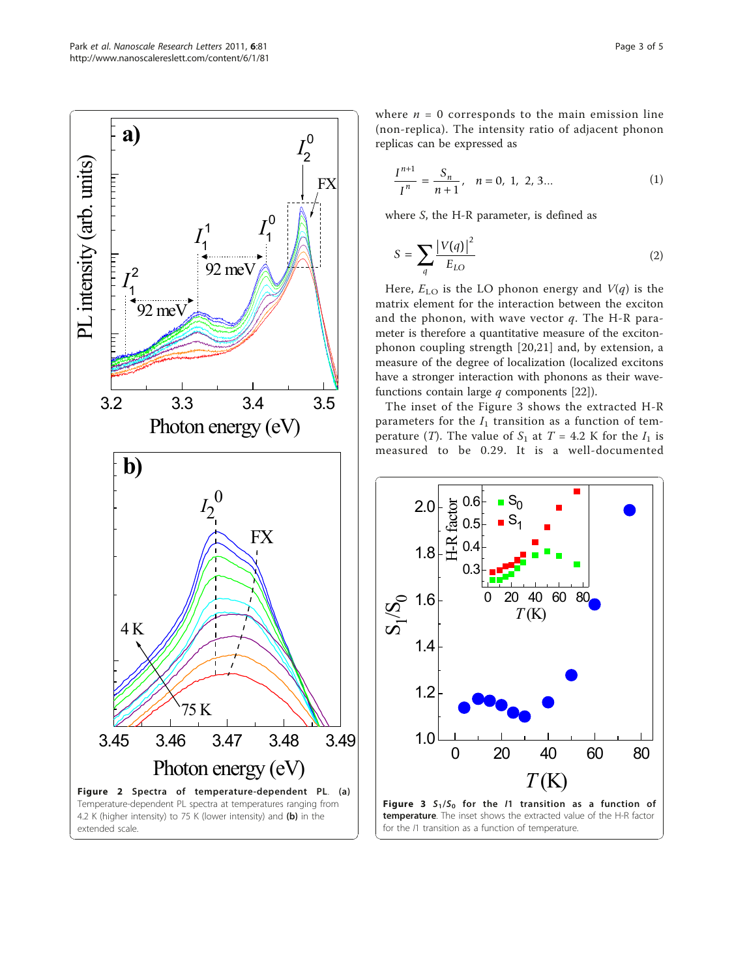<span id="page-2-0"></span>

where  $n = 0$  corresponds to the main emission line (non-replica). The intensity ratio of adjacent phonon replicas can be expressed as

$$
\frac{I^{n+1}}{I^n} = \frac{S_n}{n+1}, \quad n = 0, 1, 2, 3... \tag{1}
$$

where S, the H-R parameter, is defined as

$$
S = \sum_{q} \frac{|V(q)|^2}{E_{LO}} \tag{2}
$$

Here,  $E_{LO}$  is the LO phonon energy and  $V(q)$  is the matrix element for the interaction between the exciton and the phonon, with wave vector  $q$ . The H-R parameter is therefore a quantitative measure of the excitonphonon coupling strength [[20](#page-4-0),[21\]](#page-4-0) and, by extension, a measure of the degree of localization (localized excitons have a stronger interaction with phonons as their wavefunctions contain large  $q$  components [[22](#page-4-0)]).

The inset of the Figure 3 shows the extracted H-R parameters for the  $I_1$  transition as a function of temperature (T). The value of  $S_1$  at  $T = 4.2$  K for the  $I_1$  is measured to be 0.29. It is a well-documented

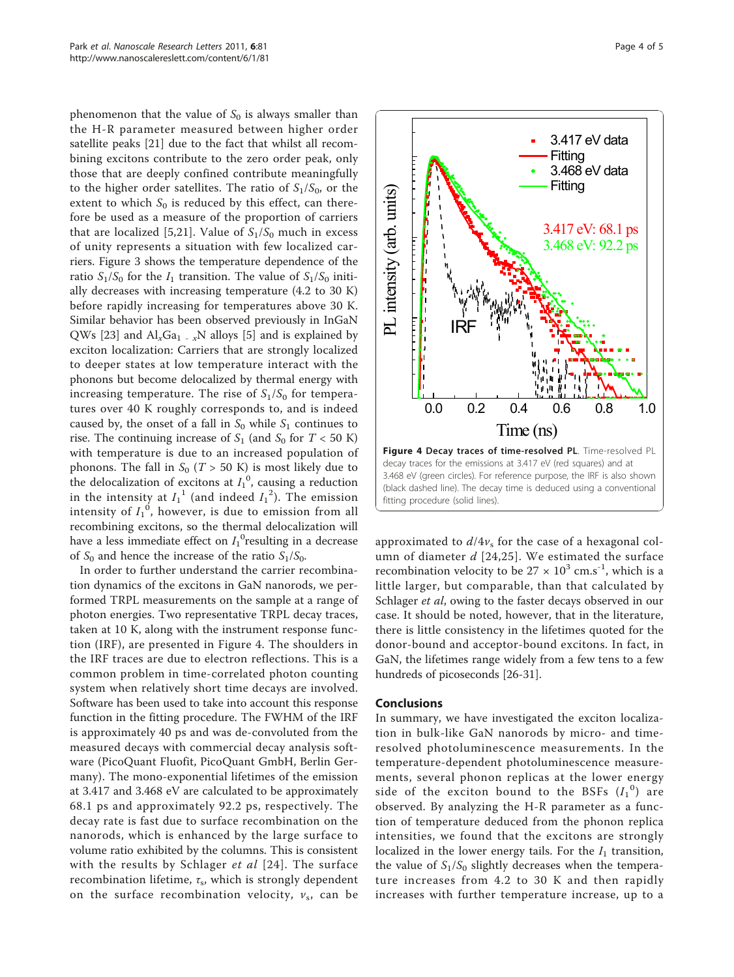phenomenon that the value of  $S_0$  is always smaller than the H-R parameter measured between higher order satellite peaks [\[21](#page-4-0)] due to the fact that whilst all recombining excitons contribute to the zero order peak, only those that are deeply confined contribute meaningfully to the higher order satellites. The ratio of  $S_1/S_0$ , or the extent to which  $S_0$  is reduced by this effect, can therefore be used as a measure of the proportion of carriers that are localized [[5,21](#page-4-0)]. Value of  $S_1/S_0$  much in excess of unity represents a situation with few localized carriers. Figure [3](#page-2-0) shows the temperature dependence of the ratio  $S_1/S_0$  for the  $I_1$  transition. The value of  $S_1/S_0$  initially decreases with increasing temperature (4.2 to 30 K) before rapidly increasing for temperatures above 30 K. Similar behavior has been observed previously in InGaN QWs [\[23](#page-4-0)] and  $\text{Al}_{x}\text{Ga}_{1-x}$ N alloys [[5\]](#page-4-0) and is explained by exciton localization: Carriers that are strongly localized to deeper states at low temperature interact with the phonons but become delocalized by thermal energy with increasing temperature. The rise of  $S_1/S_0$  for temperatures over 40 K roughly corresponds to, and is indeed caused by, the onset of a fall in  $S_0$  while  $S_1$  continues to rise. The continuing increase of  $S_1$  (and  $S_0$  for  $T < 50$  K) with temperature is due to an increased population of phonons. The fall in  $S_0$  (T > 50 K) is most likely due to the delocalization of excitons at  $I_1^0$ , causing a reduction in the intensity at  $I_1^{\ 1}$  (and indeed  $I_1^{\ 2}$ ). The emission intensity of  $I_1^{\;0}$ , however, is due to emission from all recombining excitons, so the thermal delocalization will have a less immediate effect on  ${I_1}^0$ resulting in a decrease of  $S_0$  and hence the increase of the ratio  $S_1/S_0$ .

In order to further understand the carrier recombination dynamics of the excitons in GaN nanorods, we performed TRPL measurements on the sample at a range of photon energies. Two representative TRPL decay traces, taken at 10 K, along with the instrument response function (IRF), are presented in Figure 4. The shoulders in the IRF traces are due to electron reflections. This is a common problem in time-correlated photon counting system when relatively short time decays are involved. Software has been used to take into account this response function in the fitting procedure. The FWHM of the IRF is approximately 40 ps and was de-convoluted from the measured decays with commercial decay analysis software (PicoQuant Fluofit, PicoQuant GmbH, Berlin Germany). The mono-exponential lifetimes of the emission at 3.417 and 3.468 eV are calculated to be approximately 68.1 ps and approximately 92.2 ps, respectively. The decay rate is fast due to surface recombination on the nanorods, which is enhanced by the large surface to volume ratio exhibited by the columns. This is consistent with the results by Schlager *et al* [[24](#page-4-0)]. The surface recombination lifetime,  $\tau_s$ , which is strongly dependent on the surface recombination velocity,  $v_s$ , can be



approximated to  $d/4v<sub>s</sub>$  for the case of a hexagonal column of diameter  $d$  [[24,25\]](#page-4-0). We estimated the surface recombination velocity to be  $27 \times 10^3$  cm.s<sup>-1</sup>, which is a little larger, but comparable, than that calculated by Schlager et al, owing to the faster decays observed in our case. It should be noted, however, that in the literature, there is little consistency in the lifetimes quoted for the donor-bound and acceptor-bound excitons. In fact, in GaN, the lifetimes range widely from a few tens to a few hundreds of picoseconds [\[26-31](#page-4-0)].

## Conclusions

In summary, we have investigated the exciton localization in bulk-like GaN nanorods by micro- and timeresolved photoluminescence measurements. In the temperature-dependent photoluminescence measurements, several phonon replicas at the lower energy side of the exciton bound to the BSFs  $(I_1^0)$  are observed. By analyzing the H-R parameter as a function of temperature deduced from the phonon replica intensities, we found that the excitons are strongly localized in the lower energy tails. For the  $I_1$  transition, the value of  $S_1/S_0$  slightly decreases when the temperature increases from 4.2 to 30 K and then rapidly increases with further temperature increase, up to a